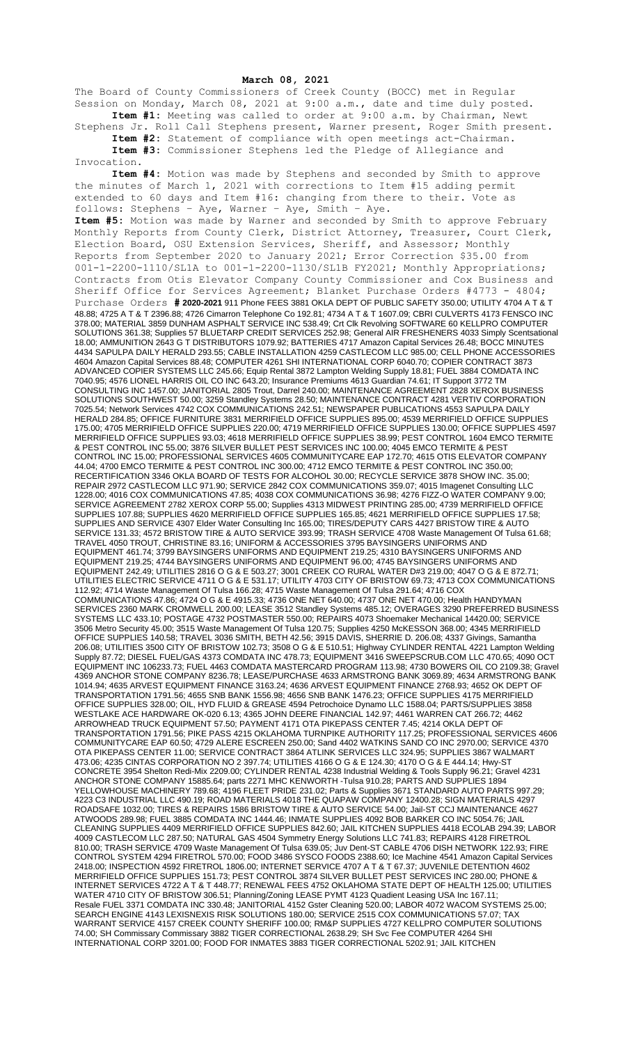**March 08, 2021**

The Board of County Commissioners of Creek County (BOCC) met in Regular Session on Monday, March 08, 2021 at 9:00 a.m., date and time duly posted. **Item #1:** Meeting was called to order at 9:00 a.m. by Chairman, Newt

Stephens Jr. Roll Call Stephens present, Warner present, Roger Smith present. **Item #2:** Statement of compliance with open meetings act-Chairman. **Item #3:** Commissioner Stephens led the Pledge of Allegiance and

Invocation.

**Item #4:** Motion was made by Stephens and seconded by Smith to approve the minutes of March 1, 2021 with corrections to Item #15 adding permit extended to 60 days and Item #16: changing from there to their. Vote as follows: Stephens – Aye, Warner – Aye, Smith – Aye. **Item #5:** Motion was made by Warner and seconded by Smith to approve February Monthly Reports from County Clerk, District Attorney, Treasurer, Court Clerk, Election Board, OSU Extension Services, Sheriff, and Assessor; Monthly Reports from September 2020 to January 2021; Error Correction \$35.00 from 001-1-2200-1110/SL1A to 001-1-2200-1130/SL1B FY2021; Monthly Appropriations; Contracts from Otis Elevator Company County Commissioner and Cox Business and Sheriff Office for Services Agreement; Blanket Purchase Orders #4773 - 4804; Purchase Orders **# 2020-2021** 911 Phone FEES 3881 OKLA DEPT OF PUBLIC SAFETY 350.00; UTILITY 4704 A T & T 48.88; 4725 A T & T 2396.88; 4726 Cimarron Telephone Co 192.81; 4734 A T & T 1607.09; CBRI CULVERTS 4173 FENSCO INC 378.00; MATERIAL 3859 DUNHAM ASPHALT SERVICE INC 538.49; Crt Clk Revolving SOFTWARE 60 KELLPRO COMPUTER SOLUTIONS 361.38; Supplies 57 BLUETARP CREDIT SERVICES 252.98; General AIR FRESHENERS 4033 Simply Scentsational 18.00; AMMUNITION 2643 G T DISTRIBUTORS 1079.92; BATTERIES 4717 Amazon Capital Services 26.48; BOCC MINUTES 4434 SAPULPA DAILY HERALD 293.55; CABLE INSTALLATION 4259 CASTLECOM LLC 985.00; CELL PHONE ACCESSORIES 4604 Amazon Capital Services 88.48; COMPUTER 4261 SHI INTERNATIONAL CORP 6040.70; COPIER CONTRACT 3873 ADVANCED COPIER SYSTEMS LLC 245.66; Equip Rental 3872 Lampton Welding Supply 18.81; FUEL 3884 COMDATA INC 7040.95; 4576 LIONEL HARRIS OIL CO INC 643.20; Insurance Premiums 4613 Guardian 74.61; IT Support 3772 TM CONSULTING INC 1457.00; JANITORIAL 2805 Trout, Darrel 240.00; MAINTENANCE AGREEMENT 2828 XEROX BUSINESS SOLUTIONS SOUTHWEST 50.00; 3259 Standley Systems 28.50; MAINTENANCE CONTRACT 4281 VERTIV CORPORATION 7025.54; Network Services 4742 COX COMMUNICATIONS 242.51; NEWSPAPER PUBLICATIONS 4553 SAPULPA DAILY HERALD 284.85; OFFICE FURNITURE 3831 MERRIFIELD OFFICE SUPPLIES 895.00; 4539 MERRIFIELD OFFICE SUPPLIES 175.00; 4705 MERRIFIELD OFFICE SUPPLIES 220.00; 4719 MERRIFIELD OFFICE SUPPLIES 130.00; OFFICE SUPPLIES 4597 MERRIFIELD OFFICE SUPPLIES 93.03; 4618 MERRIFIELD OFFICE SUPPLIES 38.99; PEST CONTROL 1604 EMCO TERMITE & PEST CONTROL INC 55.00; 3876 SILVER BULLET PEST SERVICES INC 100.00; 4045 EMCO TERMITE & PEST CONTROL INC 15.00; PROFESSIONAL SERVICES 4605 COMMUNITYCARE EAP 172.70; 4615 OTIS ELEVATOR COMPANY 44.04; 4700 EMCO TERMITE & PEST CONTROL INC 300.00; 4712 EMCO TERMITE & PEST CONTROL INC 350.00; RECERTIFICATION 3346 OKLA BOARD OF TESTS FOR ALCOHOL 30.00; RECYCLE SERVICE 3878 SHOW INC. 35.00; REPAIR 2972 CASTLECOM LLC 971.90; SERVICE 2842 COX COMMUNICATIONS 359.07; 4015 Imagenet Consulting LLC 1228.00; 4016 COX COMMUNICATIONS 47.85; 4038 COX COMMUNICATIONS 36.98; 4276 FIZZ-O WATER COMPANY 9.00; SERVICE AGREEMENT 2782 XEROX CORP 55.00; Supplies 4313 MIDWEST PRINTING 285.00; 4739 MERRIFIELD OFFICE SUPPLIES 107.88; SUPPLIES 4620 MERRIFIELD OFFICE SUPPLIES 165.85; 4621 MERRIFIELD OFFICE SUPPLIES 17.58; SUPPLIES AND SERVICE 4307 Elder Water Consulting Inc 165.00; TIRES/DEPUTY CARS 4427 BRISTOW TIRE & AUTO SERVICE 131.33; 4572 BRISTOW TIRE & AUTO SERVICE 393.99; TRASH SERVICE 4708 Waste Management Of Tulsa 61.68; TRAVEL 4050 TROUT, CHRISTINE 83.16; UNIFORM & ACCESSORIES 3795 BAYSINGERS UNIFORMS AND EQUIPMENT 461.74; 3799 BAYSINGERS UNIFORMS AND EQUIPMENT 219.25; 4310 BAYSINGERS UNIFORMS AND EQUIPMENT 219.25; 4744 BAYSINGERS UNIFORMS AND EQUIPMENT 96.00; 4745 BAYSINGERS UNIFORMS AND EQUIPMENT 242.49; UTILITIES 2816 O G & E 503.27; 3001 CREEK CO RURAL WATER D#3 219.00; 4047 O G & E 872.71; UTILITIES ELECTRIC SERVICE 4711 O G & E 531.17; UTILITY 4703 CITY OF BRISTOW 69.73; 4713 COX COMMUNICATIONS 112.92; 4714 Waste Management Of Tulsa 166.28; 4715 Waste Management Of Tulsa 291.64; 4716 COX COMMUNICATIONS 47.86; 4724 O G & E 4915.33; 4736 ONE NET 640.00; 4737 ONE NET 470.00; Health HANDYMAN SERVICES 2360 MARK CROMWELL 200.00; LEASE 3512 Standley Systems 485.12; OVERAGES 3290 PREFERRED BUSINESS SYSTEMS LLC 433.10; POSTAGE 4732 POSTMASTER 550.00; REPAIRS 4073 Shoemaker Mechanical 14420.00; SERVICE 3506 Metro Security 45.00; 3515 Waste Management Of Tulsa 120.75; Supplies 4250 McKESSON 368.00; 4345 MERRIFIELD OFFICE SUPPLIES 140.58; TRAVEL 3036 SMITH, BETH 42.56; 3915 DAVIS, SHERRIE D. 206.08; 4337 Givings, Samantha 206.08; UTILITIES 3500 CITY OF BRISTOW 102.73; 3508 O G & E 510.51; Highway CYLINDER RENTAL 4221 Lampton Welding Supply 87.72; DIESEL FUEL/GAS 4373 COMDATA INC 478.73; EQUIPMENT 3416 SWEEPSCRUB.COM LLC 470.65; 4090 OCT EQUIPMENT INC 106233.73; FUEL 4463 COMDATA MASTERCARD PROGRAM 113.98; 4730 BOWERS OIL CO 2109.38; Gravel 4369 ANCHOR STONE COMPANY 8236.78; LEASE/PURCHASE 4633 ARMSTRONG BANK 3069.89; 4634 ARMSTRONG BANK 1014.94; 4635 ARVEST EQUIPMENT FINANCE 3163.24; 4636 ARVEST EQUIPMENT FINANCE 2768.93; 4652 OK DEPT OF TRANSPORTATION 1791.56; 4655 SNB BANK 1556.98; 4656 SNB BANK 1476.23; OFFICE SUPPLIES 4175 MERRIFIELD OFFICE SUPPLIES 328.00; OIL, HYD FLUID & GREASE 4594 Petrochoice Dynamo LLC 1588.04; PARTS/SUPPLIES 3858 WESTLAKE ACE HARDWARE OK-020 6.13; 4365 JOHN DEERE FINANCIAL 142.97; 4461 WARREN CAT 266.72; 4462 ARROWHEAD TRUCK EQUIPMENT 57.50; PAYMENT 4171 OTA PIKEPASS CENTER 7.45; 4214 OKLA DEPT OF TRANSPORTATION 1791.56; PIKE PASS 4215 OKLAHOMA TURNPIKE AUTHORITY 117.25; PROFESSIONAL SERVICES 4606 COMMUNITYCARE EAP 60.50; 4729 ALERE ESCREEN 250.00; Sand 4402 WATKINS SAND CO INC 2970.00; SERVICE 4370 OTA PIKEPASS CENTER 11.00; SERVICE CONTRACT 3864 ATLINK SERVICES LLC 324.95; SUPPLIES 3867 WALMART 473.06; 4235 CINTAS CORPORATION NO 2 397.74; UTILITIES 4166 O G & E 124.30; 4170 O G & E 444.14; Hwy-ST CONCRETE 3954 Shelton Redi-Mix 2209.00; CYLINDER RENTAL 4238 Industrial Welding & Tools Supply 96.21; Gravel 4231 ANCHOR STONE COMPANY 15885.64; parts 2271 MHC KENWORTH -Tulsa 910.28; PARTS AND SUPPLIES 1894 YELLOWHOUSE MACHINERY 789.68; 4196 FLEET PRIDE 231.02; Parts & Supplies 3671 STANDARD AUTO PARTS 997.29; 4223 C3 INDUSTRIAL LLC 490.19; ROAD MATERIALS 4018 THE QUAPAW COMPANY 12400.28; SIGN MATERIALS 4297 ROADSAFE 1032.00; TIRES & REPAIRS 1586 BRISTOW TIRE & AUTO SERVICE 54.00; Jail-ST CCJ MAINTENANCE 4627 ATWOODS 289.98; FUEL 3885 COMDATA INC 1444.46; INMATE SUPPLIES 4092 BOB BARKER CO INC 5054.76; JAIL CLEANING SUPPLIES 4409 MERRIFIELD OFFICE SUPPLIES 842.60; JAIL KITCHEN SUPPLIES 4418 ECOLAB 294.39; LABOR 4009 CASTLECOM LLC 287.50; NATURAL GAS 4504 Symmetry Energy Solutions LLC 741.83; REPAIRS 4128 FIRETROL 810.00; TRASH SERVICE 4709 Waste Management Of Tulsa 639.05; Juv Dent-ST CABLE 4706 DISH NETWORK 122.93; FIRE CONTROL SYSTEM 4294 FIRETROL 570.00; FOOD 3486 SYSCO FOODS 2388.60; Ice Machine 4541 Amazon Capital Services 2418.00; INSPECTION 4592 FIRETROL 1806.00; INTERNET SERVICE 4707 A T & T 67.37; JUVENILE DETENTION 4602 MERRIFIELD OFFICE SUPPLIES 151.73; PEST CONTROL 3874 SILVER BULLET PEST SERVICES INC 280.00; PHONE & INTERNET SERVICES 4722 A T & T 448.77; RENEWAL FEES 4752 OKLAHOMA STATE DEPT OF HEALTH 125.00; UTILITIES WATER 4710 CITY OF BRISTOW 306.51; Planning/Zoning LEASE PYMT 4123 Quadient Leasing USA Inc 167.11; Resale FUEL 3371 COMDATA INC 330.48; JANITORIAL 4152 Gster Cleaning 520.00; LABOR 4072 WACOM SYSTEMS 25.00; SEARCH ENGINE 4143 LEXISNEXIS RISK SOLUTIONS 180.00; SERVICE 2515 COX COMMUNICATIONS 57.07; TAX WARRANT SERVICE 4157 CREEK COUNTY SHERIFF 100.00; RM&P SUPPLIES 4727 KELLPRO COMPUTER SOLUTIONS 74.00; SH Commissary Commissary 3882 TIGER CORRECTIONAL 2638.29; SH Svc Fee COMPUTER 4264 SHI INTERNATIONAL CORP 3201.00; FOOD FOR INMATES 3883 TIGER CORRECTIONAL 5202.91; JAIL KITCHEN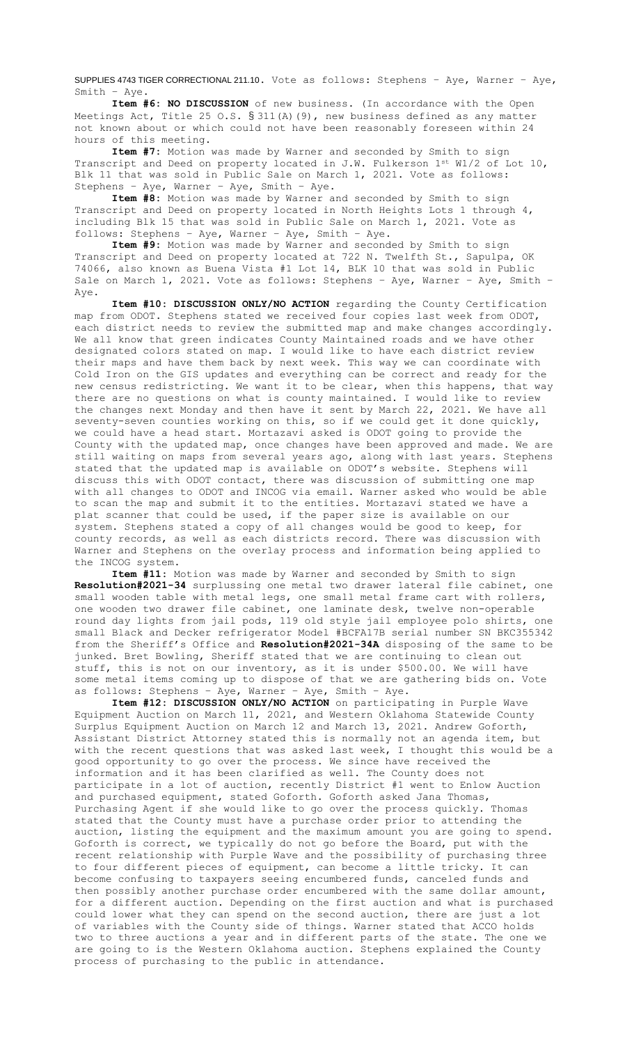SUPPLIES 4743 TIGER CORRECTIONAL 211.10. Vote as follows: Stephens – Aye, Warner – Aye, Smith – Aye.

**Item #6: NO DISCUSSION** of new business. (In accordance with the Open Meetings Act, Title 25 O.S.  $\S 311(A)$  (9), new business defined as any matter not known about or which could not have been reasonably foreseen within 24 hours of this meeting.

**Item #7:** Motion was made by Warner and seconded by Smith to sign Transcript and Deed on property located in J.W. Fulkerson 1st W1/2 of Lot 10, Blk 11 that was sold in Public Sale on March 1, 2021. Vote as follows: Stephens – Aye, Warner – Aye, Smith – Aye.

**Item #8:** Motion was made by Warner and seconded by Smith to sign Transcript and Deed on property located in North Heights Lots 1 through 4, including Blk 15 that was sold in Public Sale on March 1, 2021. Vote as follows: Stephens – Aye, Warner – Aye, Smith – Aye.

**Item #9:** Motion was made by Warner and seconded by Smith to sign Transcript and Deed on property located at 722 N. Twelfth St., Sapulpa, OK 74066, also known as Buena Vista #1 Lot 14, BLK 10 that was sold in Public Sale on March 1, 2021. Vote as follows: Stephens – Aye, Warner – Aye, Smith – Aye.

**Item #10: DISCUSSION ONLY/NO ACTION** regarding the County Certification map from ODOT. Stephens stated we received four copies last week from ODOT, each district needs to review the submitted map and make changes accordingly. We all know that green indicates County Maintained roads and we have other designated colors stated on map. I would like to have each district review their maps and have them back by next week. This way we can coordinate with Cold Iron on the GIS updates and everything can be correct and ready for the new census redistricting. We want it to be clear, when this happens, that way there are no questions on what is county maintained. I would like to review the changes next Monday and then have it sent by March 22, 2021. We have all seventy-seven counties working on this, so if we could get it done quickly, we could have a head start. Mortazavi asked is ODOT going to provide the County with the updated map, once changes have been approved and made. We are still waiting on maps from several years ago, along with last years. Stephens stated that the updated map is available on ODOT's website. Stephens will discuss this with ODOT contact, there was discussion of submitting one map with all changes to ODOT and INCOG via email. Warner asked who would be able to scan the map and submit it to the entities. Mortazavi stated we have a plat scanner that could be used, if the paper size is available on our system. Stephens stated a copy of all changes would be good to keep, for county records, as well as each districts record. There was discussion with Warner and Stephens on the overlay process and information being applied to the INCOG system.

**Item #11:** Motion was made by Warner and seconded by Smith to sign **Resolution#2021-34** surplussing one metal two drawer lateral file cabinet, one small wooden table with metal legs, one small metal frame cart with rollers, one wooden two drawer file cabinet, one laminate desk, twelve non-operable round day lights from jail pods, 119 old style jail employee polo shirts, one small Black and Decker refrigerator Model #BCFA17B serial number SN BKC355342 from the Sheriff's Office and **Resolution#2021-34A** disposing of the same to be junked. Bret Bowling, Sheriff stated that we are continuing to clean out stuff, this is not on our inventory, as it is under \$500.00. We will have some metal items coming up to dispose of that we are gathering bids on. Vote as follows: Stephens – Aye, Warner – Aye, Smith – Aye.

**Item #12: DISCUSSION ONLY/NO ACTION** on participating in Purple Wave Equipment Auction on March 11, 2021, and Western Oklahoma Statewide County Surplus Equipment Auction on March 12 and March 13, 2021. Andrew Goforth, Assistant District Attorney stated this is normally not an agenda item, but with the recent questions that was asked last week, I thought this would be a good opportunity to go over the process. We since have received the information and it has been clarified as well. The County does not participate in a lot of auction, recently District #1 went to Enlow Auction and purchased equipment, stated Goforth. Goforth asked Jana Thomas, Purchasing Agent if she would like to go over the process quickly. Thomas stated that the County must have a purchase order prior to attending the auction, listing the equipment and the maximum amount you are going to spend. Goforth is correct, we typically do not go before the Board, put with the recent relationship with Purple Wave and the possibility of purchasing three to four different pieces of equipment, can become a little tricky. It can become confusing to taxpayers seeing encumbered funds, canceled funds and then possibly another purchase order encumbered with the same dollar amount, for a different auction. Depending on the first auction and what is purchased could lower what they can spend on the second auction, there are just a lot of variables with the County side of things. Warner stated that ACCO holds two to three auctions a year and in different parts of the state. The one we are going to is the Western Oklahoma auction. Stephens explained the County process of purchasing to the public in attendance.